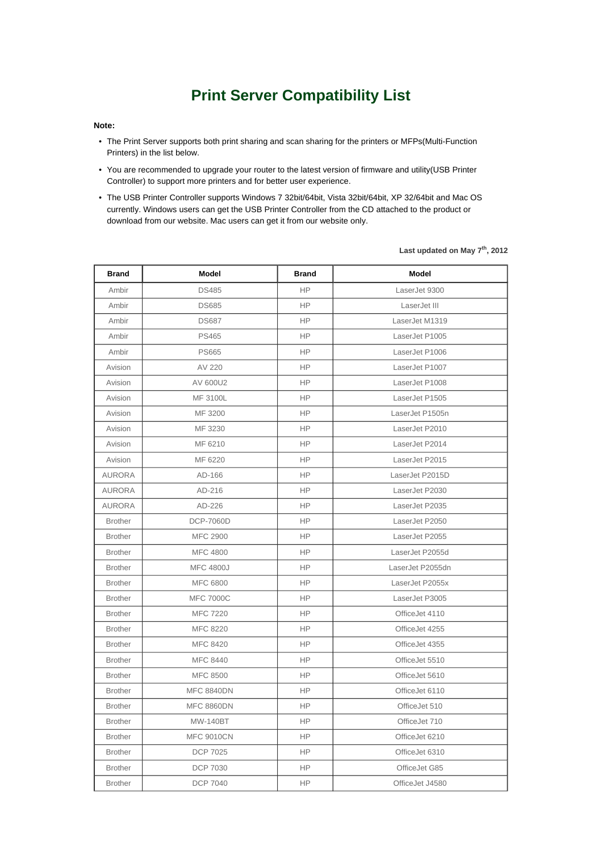## **Print Server Compatibility List**

## **Note:**

- The Print Server supports both print sharing and scan sharing for the printers or MFPs(Multi-Function Printers) in the list below.
- You are recommended to upgrade your router to the latest version of firmware and utility(USB Printer Controller) to support more printers and for better user experience.
- The USB Printer Controller supports Windows 7 32bit/64bit, Vista 32bit/64bit, XP 32/64bit and Mac OS currently. Windows users can get the USB Printer Controller from the CD attached to the product or download from our website. Mac users can get it from our website only.

| <b>Brand</b>   | Model             | <b>Brand</b> | Model            |
|----------------|-------------------|--------------|------------------|
| Ambir          | <b>DS485</b>      | <b>HP</b>    | LaserJet 9300    |
| Ambir          | <b>DS685</b>      | <b>HP</b>    | LaserJet III     |
| Ambir          | <b>DS687</b>      | <b>HP</b>    | LaserJet M1319   |
| Ambir          | <b>PS465</b>      | <b>HP</b>    | LaserJet P1005   |
| Ambir          | <b>PS665</b>      | HP           | LaserJet P1006   |
| Avision        | AV 220            | <b>HP</b>    | LaserJet P1007   |
| Avision        | AV 600U2          | <b>HP</b>    | LaserJet P1008   |
| Avision        | MF 3100L          | <b>HP</b>    | LaserJet P1505   |
| Avision        | MF 3200           | <b>HP</b>    | LaserJet P1505n  |
| Avision        | MF 3230           | HP.          | LaserJet P2010   |
| Avision        | MF 6210           | <b>HP</b>    | LaserJet P2014   |
| Avision        | MF 6220           | <b>HP</b>    | LaserJet P2015   |
| <b>AURORA</b>  | AD-166            | <b>HP</b>    | LaserJet P2015D  |
| <b>AURORA</b>  | AD-216            | НP           | LaserJet P2030   |
| AURORA         | AD-226            | HP           | LaserJet P2035   |
| <b>Brother</b> | <b>DCP-7060D</b>  | <b>HP</b>    | LaserJet P2050   |
| <b>Brother</b> | <b>MFC 2900</b>   | <b>HP</b>    | LaserJet P2055   |
| <b>Brother</b> | <b>MFC 4800</b>   | <b>HP</b>    | LaserJet P2055d  |
| <b>Brother</b> | <b>MFC 4800J</b>  | <b>HP</b>    | LaserJet P2055dn |
| <b>Brother</b> | MFC 6800          | HP           | LaserJet P2055x  |
| <b>Brother</b> | <b>MFC 7000C</b>  | <b>HP</b>    | LaserJet P3005   |
| <b>Brother</b> | <b>MFC 7220</b>   | <b>HP</b>    | OfficeJet 4110   |
| <b>Brother</b> | <b>MFC 8220</b>   | <b>HP</b>    | OfficeJet 4255   |
| <b>Brother</b> | <b>MFC 8420</b>   | <b>HP</b>    | OfficeJet 4355   |
| <b>Brother</b> | MFC 8440          | <b>HP</b>    | OfficeJet 5510   |
| <b>Brother</b> | <b>MFC 8500</b>   | <b>HP</b>    | OfficeJet 5610   |
| <b>Brother</b> | <b>MFC 8840DN</b> | <b>HP</b>    | OfficeJet 6110   |
| <b>Brother</b> | <b>MFC 8860DN</b> | <b>HP</b>    | OfficeJet 510    |
| <b>Brother</b> | <b>MW-140BT</b>   | <b>HP</b>    | OfficeJet 710    |
| <b>Brother</b> | <b>MFC 9010CN</b> | <b>HP</b>    | OfficeJet 6210   |
| <b>Brother</b> | <b>DCP 7025</b>   | <b>HP</b>    | OfficeJet 6310   |
| <b>Brother</b> | <b>DCP 7030</b>   | HP           | OfficeJet G85    |
| <b>Brother</b> | <b>DCP 7040</b>   | HP           | OfficeJet J4580  |

**Last updated on May 7th, 2012**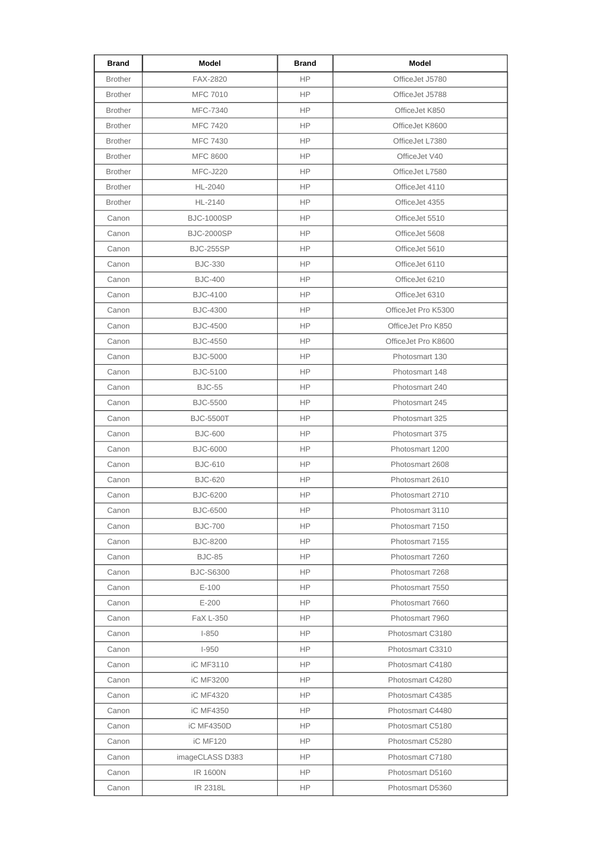| <b>Brand</b>   | Model             | <b>Brand</b> | <b>Model</b>        |
|----------------|-------------------|--------------|---------------------|
| <b>Brother</b> | <b>FAX-2820</b>   | <b>HP</b>    | OfficeJet J5780     |
| <b>Brother</b> | <b>MFC 7010</b>   | <b>HP</b>    | OfficeJet J5788     |
| <b>Brother</b> | MFC-7340          | HP           | OfficeJet K850      |
| <b>Brother</b> | <b>MFC 7420</b>   | <b>HP</b>    | OfficeJet K8600     |
| <b>Brother</b> | <b>MFC 7430</b>   | <b>HP</b>    | OfficeJet L7380     |
| <b>Brother</b> | <b>MFC 8600</b>   | <b>HP</b>    | OfficeJet V40       |
| <b>Brother</b> | <b>MFC-J220</b>   | HP           | OfficeJet L7580     |
| <b>Brother</b> | HL-2040           | <b>HP</b>    | OfficeJet 4110      |
| <b>Brother</b> | HL-2140           | HP           | OfficeJet 4355      |
| Canon          | <b>BJC-1000SP</b> | <b>HP</b>    | OfficeJet 5510      |
| Canon          | <b>BJC-2000SP</b> | <b>HP</b>    | OfficeJet 5608      |
| Canon          | <b>BJC-255SP</b>  | <b>HP</b>    | OfficeJet 5610      |
| Canon          | <b>BJC-330</b>    | HP           | OfficeJet 6110      |
| Canon          | <b>BJC-400</b>    | HP           | OfficeJet 6210      |
| Canon          | <b>BJC-4100</b>   | HP           | OfficeJet 6310      |
| Canon          | <b>BJC-4300</b>   | HP           | OfficeJet Pro K5300 |
| Canon          | <b>BJC-4500</b>   | <b>HP</b>    | OfficeJet Pro K850  |
| Canon          | <b>BJC-4550</b>   | <b>HP</b>    | OfficeJet Pro K8600 |
| Canon          | <b>BJC-5000</b>   | <b>HP</b>    | Photosmart 130      |
| Canon          | <b>BJC-5100</b>   | HP           | Photosmart 148      |
| Canon          | <b>BJC-55</b>     | <b>HP</b>    | Photosmart 240      |
| Canon          | <b>BJC-5500</b>   | HP           | Photosmart 245      |
| Canon          | <b>BJC-5500T</b>  | <b>HP</b>    | Photosmart 325      |
| Canon          | <b>BJC-600</b>    | <b>HP</b>    | Photosmart 375      |
| Canon          | <b>BJC-6000</b>   | <b>HP</b>    | Photosmart 1200     |
| Canon          | <b>BJC-610</b>    | HP           | Photosmart 2608     |
| Canon          | <b>BJC-620</b>    | HP           | Photosmart 2610     |
| Canon          | <b>BJC-6200</b>   | <b>HP</b>    | Photosmart 2710     |
| Canon          | <b>BJC-6500</b>   | HP           | Photosmart 3110     |
| Canon          | <b>BJC-700</b>    | <b>HP</b>    | Photosmart 7150     |
| Canon          | <b>BJC-8200</b>   | HP           | Photosmart 7155     |
| Canon          | <b>BJC-85</b>     | HP           | Photosmart 7260     |
| Canon          | <b>BJC-S6300</b>  | HP.          | Photosmart 7268     |
| Canon          | $E-100$           | <b>HP</b>    | Photosmart 7550     |
| Canon          | $E-200$           | HP           | Photosmart 7660     |
| Canon          | FaX L-350         | HP           | Photosmart 7960     |
| Canon          | $I-850$           | <b>HP</b>    | Photosmart C3180    |
| Canon          | $I-950$           | HP.          | Photosmart C3310    |
| Canon          | iC MF3110         | HP.          | Photosmart C4180    |
| Canon          | iC MF3200         | HP.          | Photosmart C4280    |
| Canon          | iC MF4320         | HP           | Photosmart C4385    |
| Canon          | iC MF4350         | HP           | Photosmart C4480    |
| Canon          | iC MF4350D        | HP           | Photosmart C5180    |
| Canon          | <b>iC MF120</b>   | HP.          | Photosmart C5280    |
| Canon          | imageCLASS D383   | <b>HP</b>    | Photosmart C7180    |
| Canon          | <b>IR 1600N</b>   | HP.          | Photosmart D5160    |
| Canon          | IR 2318L          | HP           | Photosmart D5360    |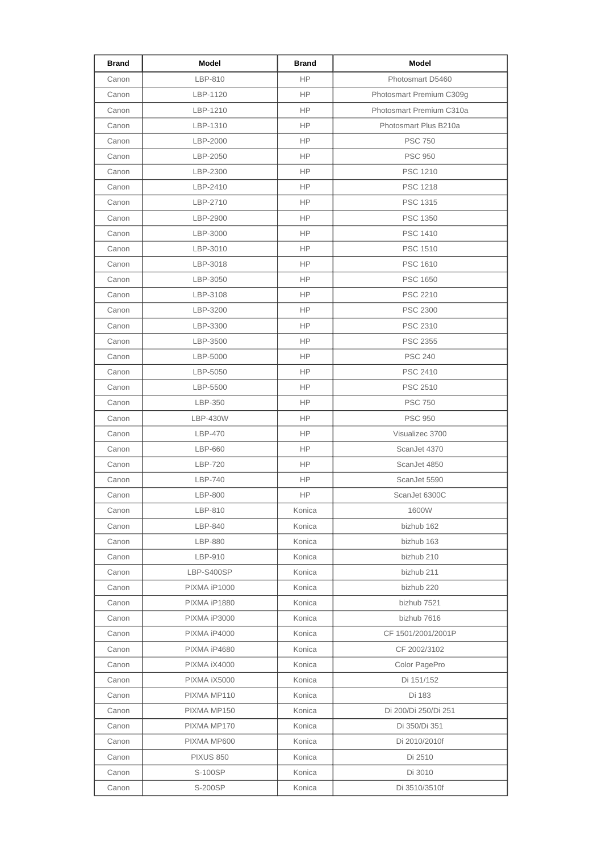| Brand | Model            | <b>Brand</b> | Model                    |
|-------|------------------|--------------|--------------------------|
| Canon | LBP-810          | <b>HP</b>    | Photosmart D5460         |
| Canon | LBP-1120         | <b>HP</b>    | Photosmart Premium C309g |
| Canon | LBP-1210         | HP.          | Photosmart Premium C310a |
| Canon | LBP-1310         | <b>HP</b>    | Photosmart Plus B210a    |
| Canon | LBP-2000         | HP.          | <b>PSC 750</b>           |
| Canon | LBP-2050         | <b>HP</b>    | <b>PSC 950</b>           |
| Canon | LBP-2300         | HP           | PSC 1210                 |
| Canon | LBP-2410         | HP.          | <b>PSC 1218</b>          |
| Canon | LBP-2710         | HP.          | PSC 1315                 |
| Canon | LBP-2900         | HP.          | <b>PSC 1350</b>          |
| Canon | LBP-3000         | HP.          | <b>PSC 1410</b>          |
| Canon | LBP-3010         | HP.          | <b>PSC 1510</b>          |
| Canon | LBP-3018         | <b>HP</b>    | <b>PSC 1610</b>          |
| Canon | LBP-3050         | HP.          | <b>PSC 1650</b>          |
| Canon | LBP-3108         | HP.          | <b>PSC 2210</b>          |
| Canon | LBP-3200         | HP.          | <b>PSC 2300</b>          |
| Canon | LBP-3300         | <b>HP</b>    | PSC 2310                 |
| Canon | LBP-3500         | HP           | <b>PSC 2355</b>          |
| Canon | LBP-5000         | HP           | <b>PSC 240</b>           |
| Canon | LBP-5050         | HP.          | <b>PSC 2410</b>          |
| Canon | LBP-5500         | <b>HP</b>    | <b>PSC 2510</b>          |
| Canon | LBP-350          | HP.          | <b>PSC 750</b>           |
| Canon | LBP-430W         | HP.          | <b>PSC 950</b>           |
| Canon | LBP-470          | <b>HP</b>    | Visualizec 3700          |
| Canon | LBP-660          | <b>HP</b>    | ScanJet 4370             |
| Canon | LBP-720          | <b>HP</b>    | ScanJet 4850             |
| Canon | LBP-740          | HP.          | ScanJet 5590             |
| Canon | LBP-800          | <b>HP</b>    | ScanJet 6300C            |
| Canon | LBP-810          | Konica       | 1600W                    |
| Canon | LBP-840          | Konica       | bizhub 162               |
| Canon | <b>LBP-880</b>   | Konica       | bizhub 163               |
| Canon | LBP-910          | Konica       | bizhub 210               |
| Canon | LBP-S400SP       | Konica       | bizhub 211               |
| Canon | PIXMA iP1000     | Konica       | bizhub 220               |
| Canon | PIXMA iP1880     | Konica       | bizhub 7521              |
| Canon | PIXMA iP3000     | Konica       | bizhub 7616              |
| Canon | PIXMA iP4000     | Konica       | CF 1501/2001/2001P       |
| Canon | PIXMA iP4680     | Konica       | CF 2002/3102             |
| Canon | PIXMA iX4000     | Konica       | Color PagePro            |
| Canon | PIXMA iX5000     | Konica       | Di 151/152               |
| Canon | PIXMA MP110      | Konica       | Di 183                   |
| Canon | PIXMA MP150      | Konica       | Di 200/Di 250/Di 251     |
| Canon | PIXMA MP170      | Konica       | Di 350/Di 351            |
| Canon | PIXMA MP600      | Konica       | Di 2010/2010f            |
| Canon | <b>PIXUS 850</b> | Konica       | Di 2510                  |
| Canon | S-100SP          | Konica       | Di 3010                  |
| Canon | S-200SP          | Konica       | Di 3510/3510f            |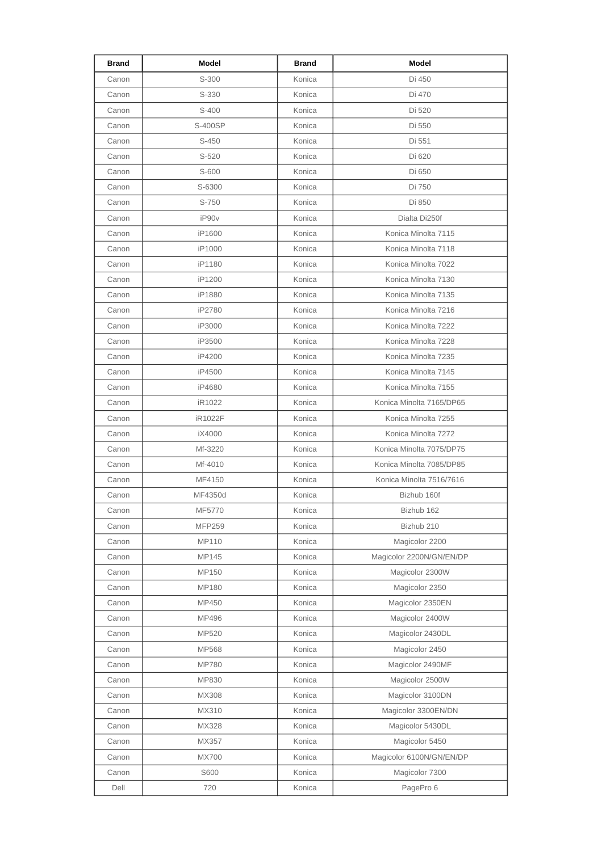| Brand | Model         | <b>Brand</b> | Model                    |
|-------|---------------|--------------|--------------------------|
| Canon | S-300         | Konica       | Di 450                   |
| Canon | S-330         | Konica       | Di 470                   |
| Canon | S-400         | Konica       | Di 520                   |
| Canon | S-400SP       | Konica       | Di 550                   |
| Canon | S-450         | Konica       | Di 551                   |
| Canon | S-520         | Konica       | Di 620                   |
| Canon | S-600         | Konica       | Di 650                   |
| Canon | S-6300        | Konica       | Di 750                   |
| Canon | S-750         | Konica       | Di 850                   |
| Canon | iP90v         | Konica       | Dialta Di250f            |
| Canon | iP1600        | Konica       | Konica Minolta 7115      |
| Canon | iP1000        | Konica       | Konica Minolta 7118      |
| Canon | iP1180        | Konica       | Konica Minolta 7022      |
| Canon | iP1200        | Konica       | Konica Minolta 7130      |
| Canon | iP1880        | Konica       | Konica Minolta 7135      |
| Canon | iP2780        | Konica       | Konica Minolta 7216      |
| Canon | iP3000        | Konica       | Konica Minolta 7222      |
| Canon | iP3500        | Konica       | Konica Minolta 7228      |
| Canon | iP4200        | Konica       | Konica Minolta 7235      |
| Canon | iP4500        | Konica       | Konica Minolta 7145      |
| Canon | iP4680        | Konica       | Konica Minolta 7155      |
| Canon | iR1022        | Konica       | Konica Minolta 7165/DP65 |
| Canon | iR1022F       | Konica       | Konica Minolta 7255      |
| Canon | iX4000        | Konica       | Konica Minolta 7272      |
| Canon | Mf-3220       | Konica       | Konica Minolta 7075/DP75 |
| Canon | Mf-4010       | Konica       | Konica Minolta 7085/DP85 |
| Canon | MF4150        | Konica       | Konica Minolta 7516/7616 |
| Canon | MF4350d       | Konica       | Bizhub 160f              |
| Canon | MF5770        | Konica       | Bizhub 162               |
| Canon | <b>MFP259</b> | Konica       | Bizhub 210               |
| Canon | MP110         | Konica       | Magicolor 2200           |
| Canon | MP145         | Konica       | Magicolor 2200N/GN/EN/DP |
| Canon | MP150         | Konica       | Magicolor 2300W          |
| Canon | MP180         | Konica       | Magicolor 2350           |
| Canon | MP450         | Konica       | Magicolor 2350EN         |
| Canon | MP496         | Konica       | Magicolor 2400W          |
| Canon | MP520         | Konica       | Magicolor 2430DL         |
| Canon | MP568         | Konica       | Magicolor 2450           |
| Canon | <b>MP780</b>  | Konica       | Magicolor 2490MF         |
| Canon | MP830         | Konica       | Magicolor 2500W          |
| Canon | MX308         | Konica       | Magicolor 3100DN         |
| Canon | MX310         | Konica       | Magicolor 3300EN/DN      |
| Canon | MX328         | Konica       | Magicolor 5430DL         |
| Canon | MX357         | Konica       | Magicolor 5450           |
| Canon | <b>MX700</b>  | Konica       | Magicolor 6100N/GN/EN/DP |
| Canon | S600          | Konica       | Magicolor 7300           |
| Dell  | 720           | Konica       | PagePro 6                |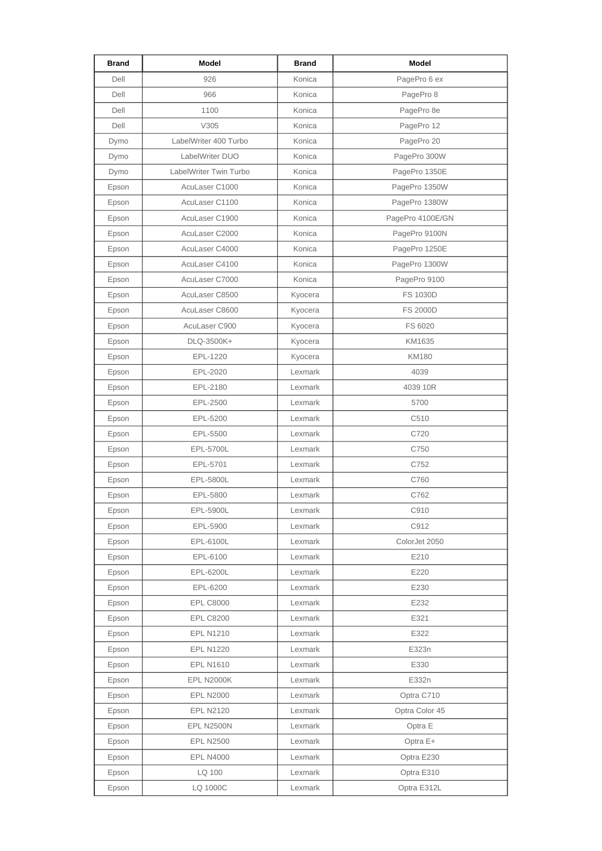| <b>Brand</b> | Model                  | <b>Brand</b> | Model            |
|--------------|------------------------|--------------|------------------|
| Dell         | 926                    | Konica       | PagePro 6 ex     |
| Dell         | 966                    | Konica       | PagePro 8        |
| Dell         | 1100                   | Konica       | PagePro 8e       |
| Dell         | V305                   | Konica       | PagePro 12       |
| Dymo         | LabelWriter 400 Turbo  | Konica       | PagePro 20       |
| Dymo         | LabelWriter DUO        | Konica       | PagePro 300W     |
| Dymo         | LabelWriter Twin Turbo | Konica       | PagePro 1350E    |
| Epson        | AcuLaser C1000         | Konica       | PagePro 1350W    |
| Epson        | AcuLaser C1100         | Konica       | PagePro 1380W    |
| Epson        | AcuLaser C1900         | Konica       | PagePro 4100E/GN |
| Epson        | AcuLaser C2000         | Konica       | PagePro 9100N    |
| Epson        | AcuLaser C4000         | Konica       | PagePro 1250E    |
| Epson        | AcuLaser C4100         | Konica       | PagePro 1300W    |
| Epson        | AcuLaser C7000         | Konica       | PagePro 9100     |
| Epson        | AcuLaser C8500         | Kyocera      | FS 1030D         |
| Epson        | AcuLaser C8600         | Kyocera      | <b>FS 2000D</b>  |
| Epson        | AcuLaser C900          | Kyocera      | FS 6020          |
| Epson        | DLQ-3500K+             | Kyocera      | KM1635           |
| Epson        | EPL-1220               | Kyocera      | <b>KM180</b>     |
| Epson        | EPL-2020               | Lexmark      | 4039             |
| Epson        | EPL-2180               | Lexmark      | 4039 10R         |
| Epson        | EPL-2500               | Lexmark      | 5700             |
| Epson        | EPL-5200               | Lexmark      | C510             |
| Epson        | EPL-5500               | Lexmark      | C720             |
| Epson        | EPL-5700L              | Lexmark      | C750             |
| Epson        | EPL-5701               | Lexmark      | C752             |
| Epson        | EPL-5800L              | Lexmark      | C760             |
| Epson        | EPL-5800               | Lexmark      | C762             |
| Epson        | EPL-5900L              | Lexmark      | C910             |
| Epson        | EPL-5900               | Lexmark      | C912             |
| Epson        | EPL-6100L              | Lexmark      | ColorJet 2050    |
| Epson        | EPL-6100               | Lexmark      | E210             |
| Epson        | EPL-6200L              | Lexmark      | E220             |
| Epson        | EPL-6200               | Lexmark      | E230             |
| Epson        | <b>EPL C8000</b>       | Lexmark      | E232             |
| Epson        | <b>EPL C8200</b>       | Lexmark      | E321             |
| Epson        | <b>EPL N1210</b>       | Lexmark      | E322             |
| Epson        | <b>EPL N1220</b>       | Lexmark      | E323n            |
| Epson        | <b>EPL N1610</b>       | Lexmark      | E330             |
| Epson        | <b>EPL N2000K</b>      | Lexmark      | E332n            |
| Epson        | <b>EPL N2000</b>       | Lexmark      | Optra C710       |
| Epson        | <b>EPL N2120</b>       | Lexmark      | Optra Color 45   |
| Epson        | <b>EPL N2500N</b>      | Lexmark      | Optra E          |
| Epson        | <b>EPL N2500</b>       | Lexmark      | Optra E+         |
| Epson        | <b>EPL N4000</b>       | Lexmark      | Optra E230       |
| Epson        | LQ 100                 | Lexmark      | Optra E310       |
| Epson        | LQ 1000C               | Lexmark      | Optra E312L      |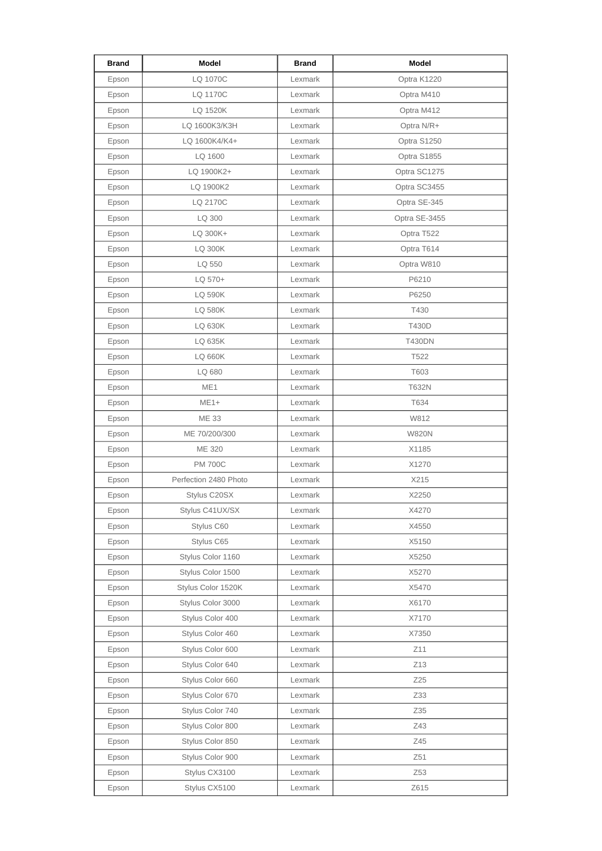| <b>Brand</b> | Model                 | <b>Brand</b> | <b>Model</b>     |
|--------------|-----------------------|--------------|------------------|
| Epson        | LQ 1070C              | Lexmark      | Optra K1220      |
| Epson        | LQ 1170C              | Lexmark      | Optra M410       |
| Epson        | LQ 1520K              | Lexmark      | Optra M412       |
| Epson        | LQ 1600K3/K3H         | Lexmark      | Optra N/R+       |
| Epson        | LQ 1600K4/K4+         | Lexmark      | Optra S1250      |
| Epson        | LQ 1600               | Lexmark      | Optra S1855      |
| Epson        | LQ 1900K2+            | Lexmark      | Optra SC1275     |
| Epson        | LQ 1900K2             | Lexmark      | Optra SC3455     |
| Epson        | LQ 2170C              | Lexmark      | Optra SE-345     |
| Epson        | LQ 300                | Lexmark      | Optra SE-3455    |
| Epson        | LQ 300K+              | Lexmark      | Optra T522       |
| Epson        | <b>LQ 300K</b>        | Lexmark      | Optra T614       |
| Epson        | LQ 550                | Lexmark      | Optra W810       |
| Epson        | LQ 570+               | Lexmark      | P6210            |
| Epson        | <b>LQ 590K</b>        | Lexmark      | P6250            |
| Epson        | <b>LQ 580K</b>        | Lexmark      | T430             |
| Epson        | <b>LQ 630K</b>        | Lexmark      | T430D            |
| Epson        | LQ 635K               | Lexmark      | <b>T430DN</b>    |
| Epson        | LQ 660K               | Lexmark      | T <sub>522</sub> |
| Epson        | LQ 680                | Lexmark      | T603             |
| Epson        | ME1                   | Lexmark      | T632N            |
| Epson        | $ME1+$                | Lexmark      | T634             |
| Epson        | <b>ME 33</b>          | Lexmark      | W812             |
| Epson        | ME 70/200/300         | Lexmark      | <b>W820N</b>     |
| Epson        | <b>ME 320</b>         | Lexmark      | X1185            |
| Epson        | <b>PM 700C</b>        | Lexmark      | X1270            |
| Epson        | Perfection 2480 Photo | Lexmark      | X215             |
| Epson        | Stylus C20SX          | Lexmark      | X2250            |
| Epson        | Stylus C41UX/SX       | Lexmark      | X4270            |
| Epson        | Stylus C60            | Lexmark      | X4550            |
| Epson        | Stylus C65            | Lexmark      | X5150            |
| Epson        | Stylus Color 1160     | Lexmark      | X5250            |
| Epson        | Stylus Color 1500     | Lexmark      | X5270            |
| Epson        | Stylus Color 1520K    | Lexmark      | X5470            |
| Epson        | Stylus Color 3000     | Lexmark      | X6170            |
| Epson        | Stylus Color 400      | Lexmark      | X7170            |
| Epson        | Stylus Color 460      | Lexmark      | X7350            |
| Epson        | Stylus Color 600      | Lexmark      | Z11              |
| Epson        | Stylus Color 640      | Lexmark      | Z13              |
| Epson        | Stylus Color 660      | Lexmark      | Z25              |
| Epson        | Stylus Color 670      | Lexmark      | Z33              |
| Epson        | Stylus Color 740      | Lexmark      | Z35              |
| Epson        | Stylus Color 800      | Lexmark      | Z43              |
| Epson        | Stylus Color 850      | Lexmark      | Z45              |
| Epson        | Stylus Color 900      | Lexmark      | Z51              |
| Epson        | Stylus CX3100         | Lexmark      | Z53              |
| Epson        | Stylus CX5100         | Lexmark      | Z615             |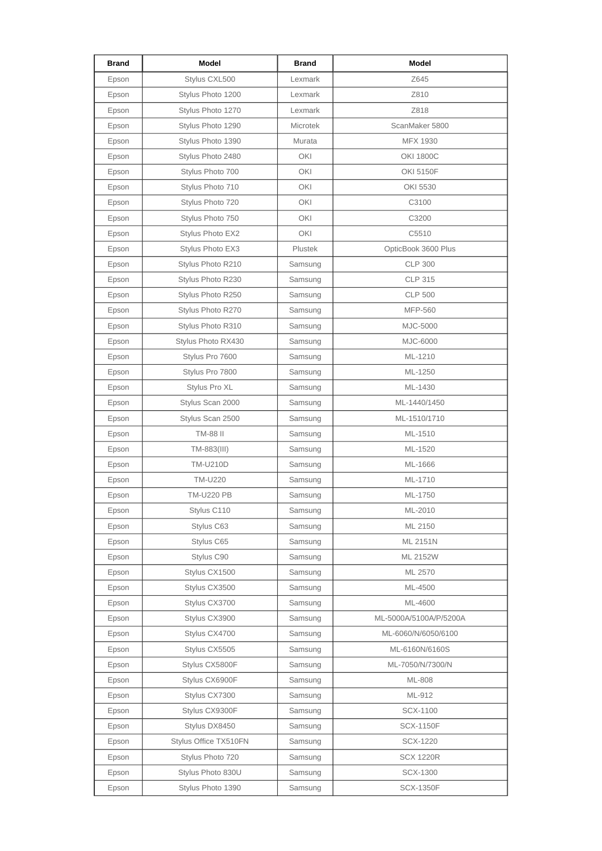| <b>Brand</b> | Model                 | <b>Brand</b>    | Model                  |
|--------------|-----------------------|-----------------|------------------------|
| Epson        | Stylus CXL500         | Lexmark         | Z645                   |
| Epson        | Stylus Photo 1200     | Lexmark         | Z810                   |
| Epson        | Stylus Photo 1270     | Lexmark         | Z818                   |
| Epson        | Stylus Photo 1290     | <b>Microtek</b> | ScanMaker 5800         |
| Epson        | Stylus Photo 1390     | Murata          | MFX 1930               |
| Epson        | Stylus Photo 2480     | OKI             | <b>OKI 1800C</b>       |
| Epson        | Stylus Photo 700      | OKI             | OKI 5150F              |
| Epson        | Stylus Photo 710      | OKI             | OKI 5530               |
| Epson        | Stylus Photo 720      | OKI             | C3100                  |
| Epson        | Stylus Photo 750      | OKI             | C3200                  |
| Epson        | Stylus Photo EX2      | OKI             | C5510                  |
| Epson        | Stylus Photo EX3      | Plustek         | OpticBook 3600 Plus    |
| Epson        | Stylus Photo R210     | Samsung         | <b>CLP 300</b>         |
| Epson        | Stylus Photo R230     | Samsung         | <b>CLP 315</b>         |
| Epson        | Stylus Photo R250     | Samsung         | <b>CLP 500</b>         |
| Epson        | Stylus Photo R270     | Samsung         | MFP-560                |
| Epson        | Stylus Photo R310     | Samsung         | MJC-5000               |
| Epson        | Stylus Photo RX430    | Samsung         | MJC-6000               |
| Epson        | Stylus Pro 7600       | Samsung         | ML-1210                |
| Epson        | Stylus Pro 7800       | Samsung         | ML-1250                |
| Epson        | Stylus Pro XL         | Samsung         | ML-1430                |
| Epson        | Stylus Scan 2000      | Samsung         | ML-1440/1450           |
| Epson        | Stylus Scan 2500      | Samsung         | ML-1510/1710           |
| Epson        | <b>TM-88 II</b>       | Samsung         | ML-1510                |
| Epson        | TM-883(III)           | Samsung         | ML-1520                |
| Epson        | <b>TM-U210D</b>       | Samsung         | ML-1666                |
| Epson        | TM-U220               | Samsung         | ML-1710                |
| Epson        | <b>TM-U220 PB</b>     | Samsung         | ML-1750                |
| Epson        | Stylus C110           | Samsung         | ML-2010                |
| Epson        | Stylus C63            | Samsung         | ML 2150                |
| Epson        | Stylus C65            | Samsung         | ML 2151N               |
| Epson        | Stylus C90            | Samsung         | ML 2152W               |
| Epson        | Stylus CX1500         | Samsung         | ML 2570                |
| Epson        | Stylus CX3500         | Samsung         | ML-4500                |
| Epson        | Stylus CX3700         | Samsung         | ML-4600                |
| Epson        | Stylus CX3900         | Samsung         | ML-5000A/5100A/P/5200A |
| Epson        | Stylus CX4700         | Samsung         | ML-6060/N/6050/6100    |
| Epson        | Stylus CX5505         | Samsung         | ML-6160N/6160S         |
| Epson        | Stylus CX5800F        | Samsung         | ML-7050/N/7300/N       |
| Epson        | Stylus CX6900F        | Samsung         | ML-808                 |
| Epson        | Stylus CX7300         | Samsung         | ML-912                 |
| Epson        | Stylus CX9300F        | Samsung         | SCX-1100               |
| Epson        | Stylus DX8450         | Samsung         | <b>SCX-1150F</b>       |
| Epson        | Stylus Office TX510FN | Samsung         | SCX-1220               |
| Epson        | Stylus Photo 720      | Samsung         | <b>SCX 1220R</b>       |
| Epson        | Stylus Photo 830U     | Samsung         | SCX-1300               |
| Epson        | Stylus Photo 1390     | Samsung         | <b>SCX-1350F</b>       |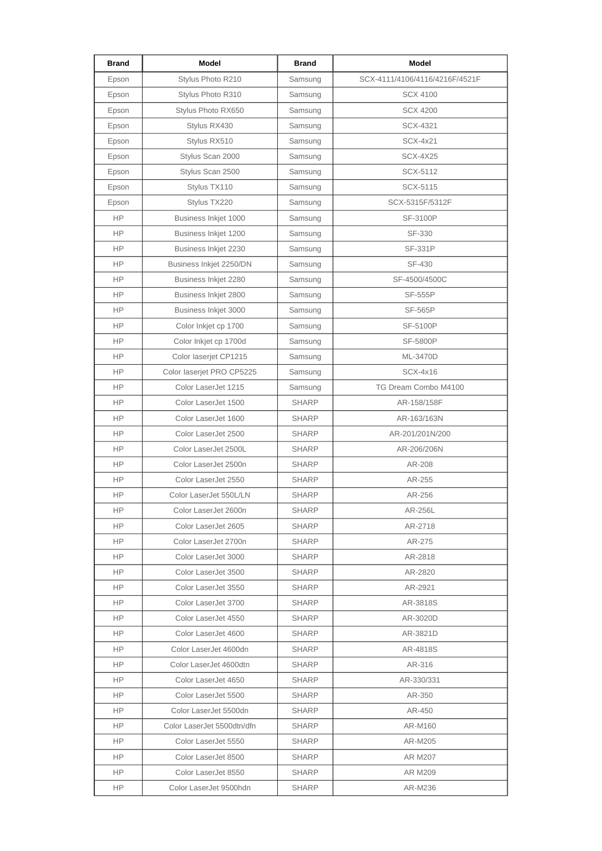| <b>Brand</b> | <b>Model</b>               | <b>Brand</b> | Model                          |
|--------------|----------------------------|--------------|--------------------------------|
| Epson        | Stylus Photo R210          | Samsung      | SCX-4111/4106/4116/4216F/4521F |
| Epson        | Stylus Photo R310          | Samsung      | <b>SCX 4100</b>                |
| Epson        | Stylus Photo RX650         | Samsung      | <b>SCX 4200</b>                |
| Epson        | Stylus RX430               | Samsung      | SCX-4321                       |
| Epson        | Stylus RX510               | Samsung      | SCX-4x21                       |
| Epson        | Stylus Scan 2000           | Samsung      | <b>SCX-4X25</b>                |
| Epson        | Stylus Scan 2500           | Samsung      | SCX-5112                       |
| Epson        | Stylus TX110               | Samsung      | SCX-5115                       |
| Epson        | Stylus TX220               | Samsung      | SCX-5315F/5312F                |
| <b>HP</b>    | Business Inkjet 1000       | Samsung      | SF-3100P                       |
| <b>HP</b>    | Business Inkjet 1200       | Samsung      | SF-330                         |
| <b>HP</b>    | Business Inkjet 2230       | Samsung      | <b>SF-331P</b>                 |
| <b>HP</b>    | Business Inkjet 2250/DN    | Samsung      | SF-430                         |
| <b>HP</b>    | Business Inkjet 2280       | Samsung      | SF-4500/4500C                  |
| <b>HP</b>    | Business Inkjet 2800       | Samsung      | <b>SF-555P</b>                 |
| <b>HP</b>    | Business Inkjet 3000       | Samsung      | <b>SF-565P</b>                 |
| <b>HP</b>    | Color Inkjet cp 1700       | Samsung      | SF-5100P                       |
| <b>HP</b>    | Color Inkjet cp 1700d      | Samsung      | <b>SF-5800P</b>                |
| <b>HP</b>    | Color laserjet CP1215      | Samsung      | ML-3470D                       |
| <b>HP</b>    | Color laserjet PRO CP5225  | Samsung      | SCX-4x16                       |
| <b>HP</b>    | Color LaserJet 1215        | Samsung      | TG Dream Combo M4100           |
| <b>HP</b>    | Color LaserJet 1500        | <b>SHARP</b> | AR-158/158F                    |
| <b>HP</b>    | Color LaserJet 1600        | <b>SHARP</b> | AR-163/163N                    |
| <b>HP</b>    | Color LaserJet 2500        | <b>SHARP</b> | AR-201/201N/200                |
| <b>HP</b>    | Color LaserJet 2500L       | <b>SHARP</b> | AR-206/206N                    |
| <b>HP</b>    | Color LaserJet 2500n       | <b>SHARP</b> | AR-208                         |
| <b>HP</b>    | Color LaserJet 2550        | <b>SHARP</b> | AR-255                         |
| <b>HP</b>    | Color LaserJet 550L/LN     | <b>SHARP</b> | AR-256                         |
| HP.          | Color LaserJet 2600n       | SHARP        | AR-256L                        |
| HP.          | Color LaserJet 2605        | <b>SHARP</b> | AR-2718                        |
| HP.          | Color LaserJet 2700n       | SHARP        | AR-275                         |
| HP           | Color LaserJet 3000        | <b>SHARP</b> | AR-2818                        |
| HP.          | Color LaserJet 3500        | <b>SHARP</b> | AR-2820                        |
| HP           | Color LaserJet 3550        | <b>SHARP</b> | AR-2921                        |
| HP.          | Color LaserJet 3700        | SHARP        | AR-3818S                       |
| HP           | Color LaserJet 4550        | <b>SHARP</b> | AR-3020D                       |
| HP.          | Color LaserJet 4600        | <b>SHARP</b> | AR-3821D                       |
| HP           | Color LaserJet 4600dn      | <b>SHARP</b> | AR-4818S                       |
| HP.          | Color LaserJet 4600dtn     | <b>SHARP</b> | AR-316                         |
| HP.          | Color LaserJet 4650        | <b>SHARP</b> | AR-330/331                     |
| HP.          | Color LaserJet 5500        | <b>SHARP</b> | AR-350                         |
| HP.          | Color LaserJet 5500dn      | <b>SHARP</b> | AR-450                         |
| HP.          | Color LaserJet 5500dtn/dfn | SHARP        | AR-M160                        |
| HP.          | Color LaserJet 5550        | SHARP        | AR-M205                        |
| HP.          | Color LaserJet 8500        | <b>SHARP</b> | AR M207                        |
| HP.          | Color LaserJet 8550        | <b>SHARP</b> | AR M209                        |
| HP.          | Color LaserJet 9500hdn     | <b>SHARP</b> | AR-M236                        |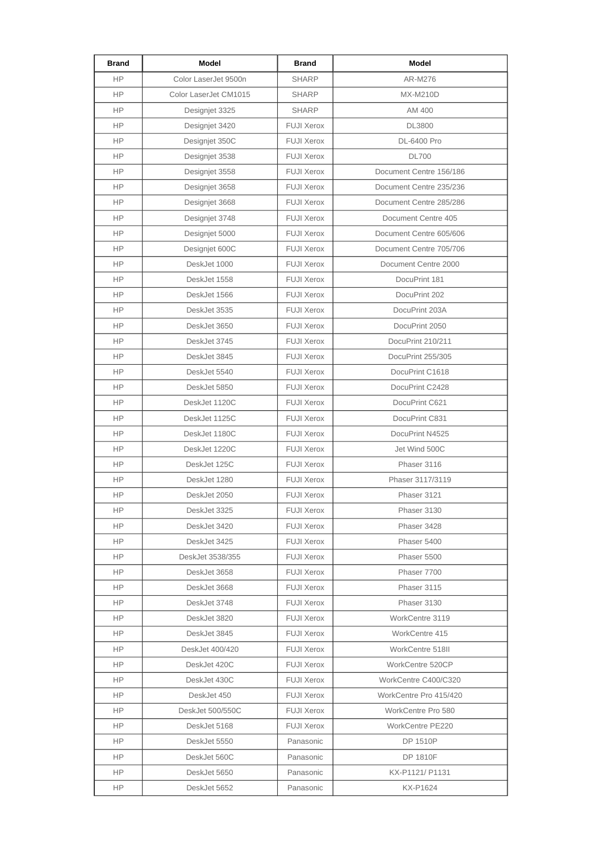| <b>Brand</b> | Model                 | <b>Brand</b>      | Model                   |
|--------------|-----------------------|-------------------|-------------------------|
| <b>HP</b>    | Color LaserJet 9500n  | <b>SHARP</b>      | AR-M276                 |
| HP           | Color LaserJet CM1015 | <b>SHARP</b>      | MX-M210D                |
| HP           | Designjet 3325        | <b>SHARP</b>      | AM 400                  |
| <b>HP</b>    | Designjet 3420        | <b>FUJI Xerox</b> | <b>DL3800</b>           |
| <b>HP</b>    | Designjet 350C        | <b>FUJI Xerox</b> | DL-6400 Pro             |
| <b>HP</b>    | Designjet 3538        | <b>FUJI Xerox</b> | <b>DL700</b>            |
| HP           | Designjet 3558        | <b>FUJI Xerox</b> | Document Centre 156/186 |
| <b>HP</b>    | Designjet 3658        | <b>FUJI Xerox</b> | Document Centre 235/236 |
| HP           | Designjet 3668        | <b>FUJI Xerox</b> | Document Centre 285/286 |
| <b>HP</b>    | Designjet 3748        | <b>FUJI Xerox</b> | Document Centre 405     |
| <b>HP</b>    | Designjet 5000        | <b>FUJI Xerox</b> | Document Centre 605/606 |
| <b>HP</b>    | Designjet 600C        | <b>FUJI Xerox</b> | Document Centre 705/706 |
| HP           | DeskJet 1000          | <b>FUJI Xerox</b> | Document Centre 2000    |
| <b>HP</b>    | DeskJet 1558          | <b>FUJI Xerox</b> | DocuPrint 181           |
| HP           | DeskJet 1566          | <b>FUJI Xerox</b> | DocuPrint 202           |
| HP.          | DeskJet 3535          | <b>FUJI Xerox</b> | DocuPrint 203A          |
| <b>HP</b>    | DeskJet 3650          | <b>FUJI Xerox</b> | DocuPrint 2050          |
| <b>HP</b>    | DeskJet 3745          | <b>FUJI Xerox</b> | DocuPrint 210/211       |
| <b>HP</b>    | DeskJet 3845          | <b>FUJI Xerox</b> | DocuPrint 255/305       |
| HP           | DeskJet 5540          | <b>FUJI Xerox</b> | DocuPrint C1618         |
| <b>HP</b>    | DeskJet 5850          | <b>FUJI Xerox</b> | DocuPrint C2428         |
| HP           | DeskJet 1120C         | <b>FUJI Xerox</b> | DocuPrint C621          |
| <b>HP</b>    | DeskJet 1125C         | <b>FUJI Xerox</b> | DocuPrint C831          |
| <b>HP</b>    | DeskJet 1180C         | <b>FUJI Xerox</b> | DocuPrint N4525         |
| <b>HP</b>    | DeskJet 1220C         | <b>FUJI Xerox</b> | Jet Wind 500C           |
| HP           | DeskJet 125C          | <b>FUJI Xerox</b> | Phaser 3116             |
| HP.          | DeskJet 1280          | <b>FUJI Xerox</b> | Phaser 3117/3119        |
| <b>HP</b>    | DeskJet 2050          | <b>FUJI Xerox</b> | Phaser 3121             |
| HP.          | DeskJet 3325          | <b>FUJI Xerox</b> | Phaser 3130             |
| <b>HP</b>    | DeskJet 3420          | <b>FUJI Xerox</b> | Phaser 3428             |
| HP.          | DeskJet 3425          | <b>FUJI Xerox</b> | Phaser 5400             |
| HP.          | DeskJet 3538/355      | <b>FUJI Xerox</b> | Phaser 5500             |
| HP.          | DeskJet 3658          | <b>FUJI Xerox</b> | Phaser 7700             |
| HP.          | DeskJet 3668          | <b>FUJI Xerox</b> | Phaser 3115             |
| HP.          | DeskJet 3748          | <b>FUJI Xerox</b> | Phaser 3130             |
| HP.          | DeskJet 3820          | <b>FUJI Xerox</b> | WorkCentre 3119         |
| HP.          | DeskJet 3845          | <b>FUJI Xerox</b> | WorkCentre 415          |
| HP.          | DeskJet 400/420       | <b>FUJI Xerox</b> | WorkCentre 518II        |
| HP.          | DeskJet 420C          | <b>FUJI Xerox</b> | WorkCentre 520CP        |
| HP.          | DeskJet 430C          | <b>FUJI Xerox</b> | WorkCentre C400/C320    |
| HP.          | DeskJet 450           | <b>FUJI Xerox</b> | WorkCentre Pro 415/420  |
| HP.          | DeskJet 500/550C      | <b>FUJI Xerox</b> | WorkCentre Pro 580      |
| HP.          | DeskJet 5168          | <b>FUJI Xerox</b> | WorkCentre PE220        |
| HP.          | DeskJet 5550          | Panasonic         | DP 1510P                |
| HP.          | DeskJet 560C          | Panasonic         | DP 1810F                |
| HP.          | DeskJet 5650          | Panasonic         | KX-P1121/ P1131         |
| HP.          | DeskJet 5652          | Panasonic         | KX-P1624                |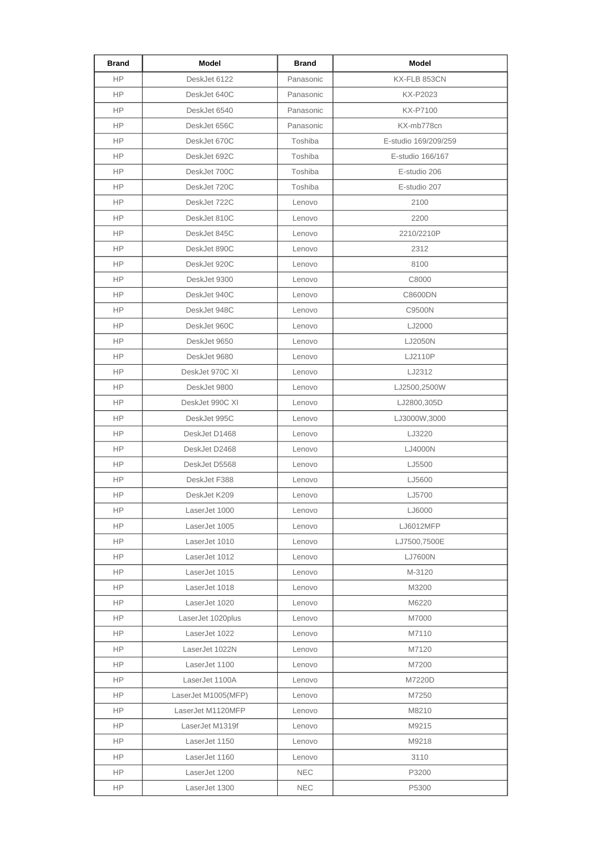| <b>Brand</b> | Model               | <b>Brand</b> | Model                |
|--------------|---------------------|--------------|----------------------|
| <b>HP</b>    | DeskJet 6122        | Panasonic    | KX-FLB 853CN         |
| <b>HP</b>    | DeskJet 640C        | Panasonic    | KX-P2023             |
| HP.          | DeskJet 6540        | Panasonic    | KX-P7100             |
| <b>HP</b>    | DeskJet 656C        | Panasonic    | KX-mb778cn           |
| <b>HP</b>    | DeskJet 670C        | Toshiba      | E-studio 169/209/259 |
| <b>HP</b>    | DeskJet 692C        | Toshiba      | E-studio 166/167     |
| HP.          | DeskJet 700C        | Toshiba      | E-studio 206         |
| HP.          | DeskJet 720C        | Toshiba      | E-studio 207         |
| HP.          | DeskJet 722C        | Lenovo       | 2100                 |
| <b>HP</b>    | DeskJet 810C        | Lenovo       | 2200                 |
| <b>HP</b>    | DeskJet 845C        | Lenovo       | 2210/2210P           |
| <b>HP</b>    | DeskJet 890C        | Lenovo       | 2312                 |
| <b>HP</b>    | DeskJet 920C        | Lenovo       | 8100                 |
| HP.          | DeskJet 9300        | Lenovo       | C8000                |
| <b>HP</b>    | DeskJet 940C        | Lenovo       | C8600DN              |
| HP.          | DeskJet 948C        | Lenovo       | C9500N               |
| <b>HP</b>    | DeskJet 960C        | Lenovo       | LJ2000               |
| HP.          | DeskJet 9650        | Lenovo       | LJ2050N              |
| HP.          | DeskJet 9680        | Lenovo       | LJ2110P              |
| HP.          | DeskJet 970C XI     | Lenovo       | LJ2312               |
| <b>HP</b>    | DeskJet 9800        | Lenovo       | LJ2500,2500W         |
| <b>HP</b>    | DeskJet 990C XI     | Lenovo       | LJ2800,305D          |
| <b>HP</b>    | DeskJet 995C        | Lenovo       | LJ3000W,3000         |
| <b>HP</b>    | DeskJet D1468       | Lenovo       | LJ3220               |
| HP.          | DeskJet D2468       | Lenovo       | LJ4000N              |
| <b>HP</b>    | DeskJet D5568       | Lenovo       | LJ5500               |
| HP.          | DeskJet F388        | Lenovo       | LJ5600               |
| ΗP           | DeskJet K209        | Lenovo       | LJ5700               |
| HP.          | LaserJet 1000       | Lenovo       | LJ6000               |
| <b>HP</b>    | LaserJet 1005       | Lenovo       | LJ6012MFP            |
| <b>HP</b>    | LaserJet 1010       | Lenovo       | LJ7500,7500E         |
| HP           | LaserJet 1012       | Lenovo       | LJ7600N              |
| HP           | LaserJet 1015       | Lenovo       | M-3120               |
| <b>HP</b>    | LaserJet 1018       | Lenovo       | M3200                |
| HP.          | LaserJet 1020       | Lenovo       | M6220                |
| HP           | LaserJet 1020plus   | Lenovo       | M7000                |
| HP           | LaserJet 1022       | Lenovo       | M7110                |
| HP           | LaserJet 1022N      | Lenovo       | M7120                |
| HP           | LaserJet 1100       | Lenovo       | M7200                |
| HP           | LaserJet 1100A      | Lenovo       | M7220D               |
| HP           | LaserJet M1005(MFP) | Lenovo       | M7250                |
| <b>HP</b>    | LaserJet M1120MFP   | Lenovo       | M8210                |
| HP           | LaserJet M1319f     | Lenovo       | M9215                |
| HP           | LaserJet 1150       | Lenovo       | M9218                |
| <b>HP</b>    | LaserJet 1160       | Lenovo       | 3110                 |
| HP.          | LaserJet 1200       | <b>NEC</b>   | P3200                |
| <b>HP</b>    | LaserJet 1300       | <b>NEC</b>   | P5300                |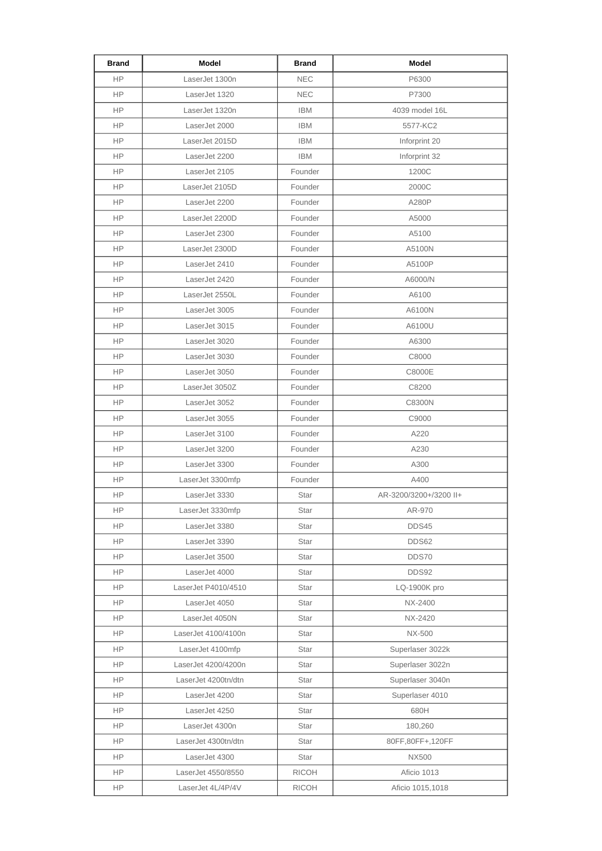| <b>Brand</b> | Model               | <b>Brand</b> | <b>Model</b>           |
|--------------|---------------------|--------------|------------------------|
| <b>HP</b>    | LaserJet 1300n      | <b>NEC</b>   | P6300                  |
| <b>HP</b>    | LaserJet 1320       | <b>NEC</b>   | P7300                  |
| HP.          | LaserJet 1320n      | <b>IBM</b>   | 4039 model 16L         |
| <b>HP</b>    | LaserJet 2000       | <b>IBM</b>   | 5577-KC2               |
| HP.          | LaserJet 2015D      | <b>IBM</b>   | Inforprint 20          |
| <b>HP</b>    | LaserJet 2200       | <b>IBM</b>   | Inforprint 32          |
| HP.          | LaserJet 2105       | Founder      | 1200C                  |
| HP           | LaserJet 2105D      | Founder      | 2000C                  |
| <b>HP</b>    | LaserJet 2200       | Founder      | A280P                  |
| <b>HP</b>    | LaserJet 2200D      | Founder      | A5000                  |
| <b>HP</b>    | LaserJet 2300       | Founder      | A5100                  |
| <b>HP</b>    | LaserJet 2300D      | Founder      | A5100N                 |
| HP           | LaserJet 2410       | Founder      | A5100P                 |
| HP.          | LaserJet 2420       | Founder      | A6000/N                |
| <b>HP</b>    | LaserJet 2550L      | Founder      | A6100                  |
| <b>HP</b>    | LaserJet 3005       | Founder      | A6100N                 |
| <b>HP</b>    | LaserJet 3015       | Founder      | A6100U                 |
| HP.          | LaserJet 3020       | Founder      | A6300                  |
| HP           | LaserJet 3030       | Founder      | C8000                  |
| HP.          | LaserJet 3050       | Founder      | C8000E                 |
| HP           | LaserJet 3050Z      | Founder      | C8200                  |
| <b>HP</b>    | LaserJet 3052       | Founder      | C8300N                 |
| <b>HP</b>    | LaserJet 3055       | Founder      | C9000                  |
| <b>HP</b>    | LaserJet 3100       | Founder      | A220                   |
| <b>HP</b>    | LaserJet 3200       | Founder      | A230                   |
| <b>HP</b>    | LaserJet 3300       | Founder      | A300                   |
| HP.          | LaserJet 3300mfp    | Founder      | A400                   |
| HP           | LaserJet 3330       | Star         | AR-3200/3200+/3200 II+ |
| HP.          | LaserJet 3330mfp    | <b>Star</b>  | AR-970                 |
| HP.          | LaserJet 3380       | Star         | DDS45                  |
| HP.          | LaserJet 3390       | Star         | DDS62                  |
| <b>HP</b>    | LaserJet 3500       | Star         | DDS70                  |
| HP           | LaserJet 4000       | Star         | DDS92                  |
| <b>HP</b>    | LaserJet P4010/4510 | Star         | LQ-1900K pro           |
| HP.          | LaserJet 4050       | Star         | NX-2400                |
| HP           | LaserJet 4050N      | Star         | NX-2420                |
| <b>HP</b>    | LaserJet 4100/4100n | Star         | NX-500                 |
| HP.          | LaserJet 4100mfp    | Star         | Superlaser 3022k       |
| HP.          | LaserJet 4200/4200n | Star         | Superlaser 3022n       |
| HP.          | LaserJet 4200tn/dtn | Star         | Superlaser 3040n       |
| <b>HP</b>    | LaserJet 4200       | Star         | Superlaser 4010        |
| HP.          | LaserJet 4250       | Star         | 680H                   |
| <b>HP</b>    | LaserJet 4300n      | Star         | 180,260                |
| HP.          | LaserJet 4300tn/dtn | Star         | 80FF,80FF+,120FF       |
| <b>HP</b>    | LaserJet 4300       | Star         | NX500                  |
| HP.          | LaserJet 4550/8550  | <b>RICOH</b> | Aficio 1013            |
| HP           | LaserJet 4L/4P/4V   | <b>RICOH</b> | Aficio 1015,1018       |